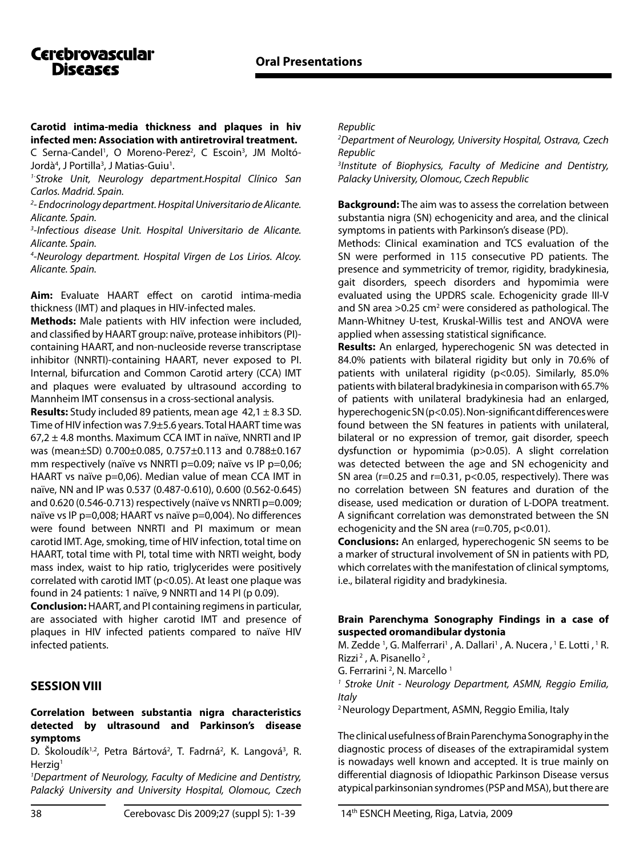# **Cerebrovascular** Discases

**Carotid intima-media thickness and plaques in hiv infected men: Association with antiretroviral treatment.** C Serna-Candel<sup>1</sup>, O Moreno-Perez<sup>2</sup>, C Escoin<sup>3</sup>, JM Moltó-Jordà<sup>4</sup>, J Portilla<sup>3</sup>, J Matias-Guiu<sup>1</sup>.

*1-Stroke Unit, Neurology department.Hospital Clínico San Carlos. Madrid. Spain.*

*2 - Endocrinology department. Hospital Universitario de Alicante. Alicante. Spain.* 

*3 -Infectious disease Unit. Hospital Universitario de Alicante. Alicante. Spain.*

*4 -Neurology department. Hospital Virgen de Los Lirios. Alcoy. Alicante. Spain.*

**Aim:** Evaluate HAART effect on carotid intima-media thickness (IMT) and plaques in HIV-infected males.

**Methods:** Male patients with HIV infection were included, and classified by HAART group: naïve, protease inhibitors (PI) containing HAART, and non-nucleoside reverse transcriptase inhibitor (NNRTI)-containing HAART, never exposed to PI. Internal, bifurcation and Common Carotid artery (CCA) IMT and plaques were evaluated by ultrasound according to Mannheim IMT consensus in a cross-sectional analysis.

**Results:** Study included 89 patients, mean age 42,1 ± 8.3 SD. Time of HIV infection was 7.9±5.6 years. Total HAART time was  $67,2 \pm 4.8$  months. Maximum CCA IMT in naïve, NNRTI and IP was (mean±SD) 0.700±0.085, 0.757±0.113 and 0.788±0.167 mm respectively (naïve vs NNRTI p=0.09; naïve vs IP p=0,06; HAART vs naïve p=0,06). Median value of mean CCA IMT in naïve, NN and IP was 0.537 (0.487-0.610), 0.600 (0.562-0.645) and 0.620 (0.546-0.713) respectively (naïve vs NNRTI p=0.009; naïve vs IP p=0,008; HAART vs naïve p=0,004). No differences were found between NNRTI and PI maximum or mean carotid IMT. Age, smoking, time of HIV infection, total time on HAART, total time with PI, total time with NRTI weight, body mass index, waist to hip ratio, triglycerides were positively correlated with carotid IMT (p<0.05). At least one plaque was found in 24 patients: 1 naïve, 9 NNRTI and 14 PI (p 0.09).

**Conclusion:** HAART, and PI containing regimens in particular, are associated with higher carotid IMT and presence of plaques in HIV infected patients compared to naïve HIV infected patients.

## **SESSION VIII**

#### **Correlation between substantia nigra characteristics detected by ultrasound and Parkinson's disease symptoms**

D. Školoudík<sup>1,2</sup>, Petra Bártová<sup>2</sup>, T. Fadrná<sup>2</sup>, K. Langová<sup>3</sup>, R.  $Herziq<sup>1</sup>$ 

*1 Department of Neurology, Faculty of Medicine and Dentistry, Palacký University and University Hospital, Olomouc, Czech*  *Republic*

*2 Department of Neurology, University Hospital, Ostrava, Czech Republic*

*3 Institute of Biophysics, Faculty of Medicine and Dentistry, Palacky University, Olomouc, Czech Republic*

**Background:** The aim was to assess the correlation between substantia nigra (SN) echogenicity and area, and the clinical symptoms in patients with Parkinson's disease (PD).

Methods: Clinical examination and TCS evaluation of the SN were performed in 115 consecutive PD patients. The presence and symmetricity of tremor, rigidity, bradykinesia, gait disorders, speech disorders and hypomimia were evaluated using the UPDRS scale. Echogenicity grade III-V and SN area  $>0.25$  cm<sup>2</sup> were considered as pathological. The Mann-Whitney U-test, Kruskal-Willis test and ANOVA were applied when assessing statistical significance.

**Results:** An enlarged, hyperechogenic SN was detected in 84.0% patients with bilateral rigidity but only in 70.6% of patients with unilateral rigidity (p<0.05). Similarly, 85.0% patients with bilateral bradykinesia in comparison with 65.7% of patients with unilateral bradykinesia had an enlarged, hyperechogenic SN (p<0.05). Non-significant differences were found between the SN features in patients with unilateral, bilateral or no expression of tremor, gait disorder, speech dysfunction or hypomimia (p>0.05). A slight correlation was detected between the age and SN echogenicity and SN area ( $r=0.25$  and  $r=0.31$ ,  $p<0.05$ , respectively). There was no correlation between SN features and duration of the disease, used medication or duration of L-DOPA treatment. A significant correlation was demonstrated between the SN echogenicity and the SN area (r=0.705, p<0.01).

**Conclusions:** An enlarged, hyperechogenic SN seems to be a marker of structural involvement of SN in patients with PD, which correlates with the manifestation of clinical symptoms, i.e., bilateral rigidity and bradykinesia.

### **Brain Parenchyma Sonography Findings in a case of suspected oromandibular dystonia**

M. Zedde<sup>1</sup>, G. Malferrari<sup>1</sup>, A. Dallari<sup>1</sup>, A. Nucera, <sup>1</sup> E. Lotti, <sup>1</sup> R. Rizzi<sup>2</sup>, A. Pisanello<sup>2</sup>,

G. Ferrarini<sup>2</sup>, N. Marcello<sup>1</sup>

*1 Stroke Unit - Neurology Department, ASMN, Reggio Emilia, Italy*

2 Neurology Department, ASMN, Reggio Emilia, Italy

The clinical usefulness of Brain Parenchyma Sonography in the diagnostic process of diseases of the extrapiramidal system is nowadays well known and accepted. It is true mainly on differential diagnosis of Idiopathic Parkinson Disease versus atypical parkinsonian syndromes (PSP and MSA), but there are